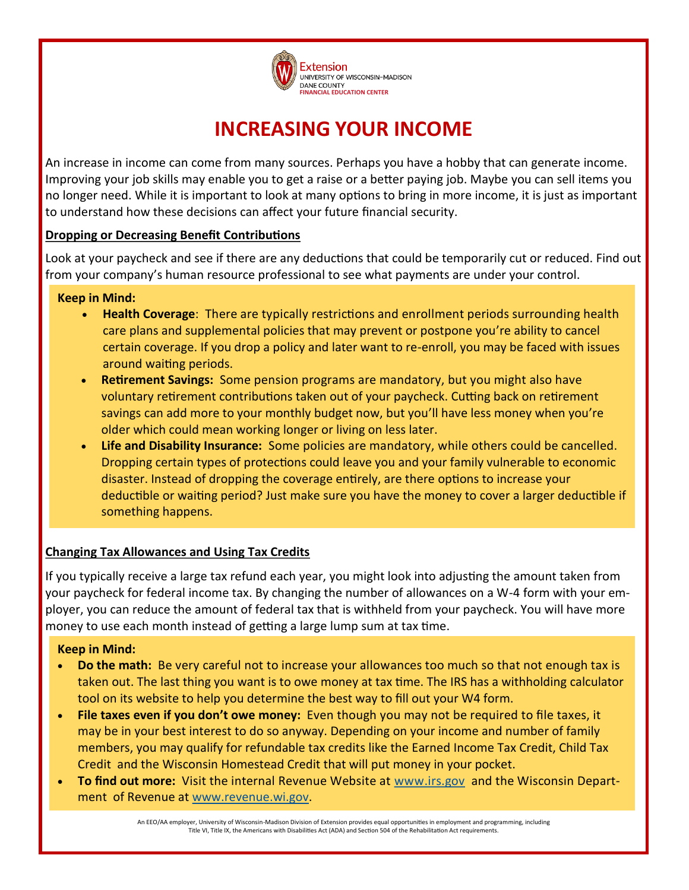

# **INCREASING YOUR INCOME**

An increase in income can come from many sources. Perhaps you have a hobby that can generate income. Improving your job skills may enable you to get a raise or a better paying job. Maybe you can sell items you no longer need. While it is important to look at many options to bring in more income, it is just as important to understand how these decisions can affect your future financial security.

### **Dropping or Decreasing Benefit Contributions**

Look at your paycheck and see if there are any deductions that could be temporarily cut or reduced. Find out from your company's human resource professional to see what payments are under your control.

#### **Keep in Mind:**

- **Health Coverage**: There are typically restrictions and enrollment periods surrounding health care plans and supplemental policies that may prevent or postpone you're ability to cancel certain coverage. If you drop a policy and later want to re-enroll, you may be faced with issues around waiting periods.
- **Retirement Savings:** Some pension programs are mandatory, but you might also have voluntary retirement contributions taken out of your paycheck. Cutting back on retirement savings can add more to your monthly budget now, but you'll have less money when you're older which could mean working longer or living on less later.
- **Life and Disability Insurance:** Some policies are mandatory, while others could be cancelled. Dropping certain types of protections could leave you and your family vulnerable to economic disaster. Instead of dropping the coverage entirely, are there options to increase your deductible or waiting period? Just make sure you have the money to cover a larger deductible if something happens.

### **Changing Tax Allowances and Using Tax Credits**

If you typically receive a large tax refund each year, you might look into adjusting the amount taken from your paycheck for federal income tax. By changing the number of allowances on a W-4 form with your employer, you can reduce the amount of federal tax that is withheld from your paycheck. You will have more money to use each month instead of getting a large lump sum at tax time.

### **Keep in Mind:**

- **Do the math:** Be very careful not to increase your allowances too much so that not enough tax is taken out. The last thing you want is to owe money at tax time. The IRS has a withholding calculator tool on its website to help you determine the best way to fill out your W4 form.
- **File taxes even if you don't owe money:** Even though you may not be required to file taxes, it may be in your best interest to do so anyway. Depending on your income and number of family members, you may qualify for refundable tax credits like the Earned Income Tax Credit, Child Tax Credit and the Wisconsin Homestead Credit that will put money in your pocket.
- **To find out more:** Visit the internal Revenue Website at [www.irs.gov](http://www.irs.gov) and the Wisconsin Department of Revenue at [www.revenue.wi.gov.](http://www.revenue.wi.gov)

An EEO/AA employer, University of Wisconsin-Madison Division of Extension provides equal opportunities in employment and programming, including Title VI, Title IX, the Americans with Disabilities Act (ADA) and Section 504 of the Rehabilitation Act requirements.